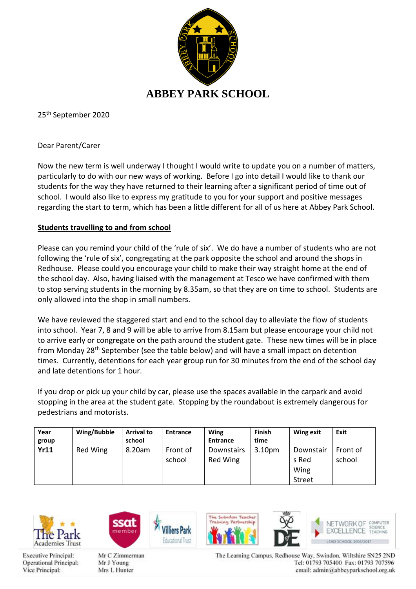

25 th September 2020

Dear Parent/Carer

Now the new term is well underway I thought I would write to update you on a number of matters, particularly to do with our new ways of working. Before I go into detail I would like to thank our students for the way they have returned to their learning after a significant period of time out of school. I would also like to express my gratitude to you for your support and positive messages regarding the start to term, which has been a little different for all of us here at Abbey Park School.

### **Students travelling to and from school**

Please can you remind your child of the 'rule of six'. We do have a number of students who are not following the 'rule of six', congregating at the park opposite the school and around the shops in Redhouse. Please could you encourage your child to make their way straight home at the end of the school day. Also, having liaised with the management at Tesco we have confirmed with them to stop serving students in the morning by 8.35am, so that they are on time to school. Students are only allowed into the shop in small numbers.

We have reviewed the staggered start and end to the school day to alleviate the flow of students into school. Year 7, 8 and 9 will be able to arrive from 8.15am but please encourage your child not to arrive early or congregate on the path around the student gate. These new times will be in place from Monday 28th September (see the table below) and will have a small impact on detention times. Currently, detentions for each year group run for 30 minutes from the end of the school day and late detentions for 1 hour.

If you drop or pick up your child by car, please use the spaces available in the carpark and avoid stopping in the area at the student gate. Stopping by the roundabout is extremely dangerous for pedestrians and motorists.

| Year<br>group | Wing/Bubble | <b>Arrival to</b><br>school | Entrance | <b>Wing</b><br><b>Entrance</b> | <b>Finish</b><br>time | Wing exit | Exit     |
|---------------|-------------|-----------------------------|----------|--------------------------------|-----------------------|-----------|----------|
| <b>Yr11</b>   | Red Wing    | 8.20am                      | Front of | Downstairs                     | 3.10 <sub>pm</sub>    | Downstair | Front of |
|               |             |                             | school   | Red Wing                       |                       | s Red     | school   |
|               |             |                             |          |                                |                       | Wing      |          |
|               |             |                             |          |                                |                       | Street    |          |

The Suindon Teacher

in Partmership



**Executive Principal:** Operational Principal: Vice Principal:



Mr C Zimmerman Mr J Young Mrs L Hunter

The Learning Campus, Redhouse Way, Swindon, Wiltshire SN25 2ND Tel: 01793 705400 Fax: 01793 707596 email: admin@abbeyparkschool.org.uk

NETWORK OF COMPUTER

EXCELLENCE TEACHING LEAD SCHOOL 2016/2017

COEMPE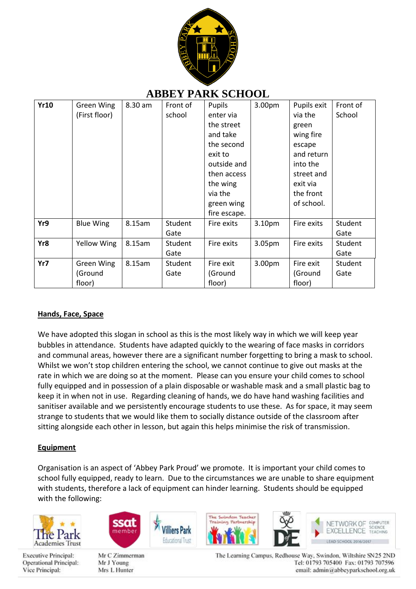

# **ABBEY PARK SCHOOL**

| <b>Yr10</b> | Green Wing        | 8.30 am | Front of | Pupils       | 3.00 <sub>pm</sub> | Pupils exit | Front of |
|-------------|-------------------|---------|----------|--------------|--------------------|-------------|----------|
|             | (First floor)     |         | school   | enter via    |                    | via the     | School   |
|             |                   |         |          | the street   |                    | green       |          |
|             |                   |         |          | and take     |                    | wing fire   |          |
|             |                   |         |          | the second   |                    | escape      |          |
|             |                   |         |          | exit to      |                    | and return  |          |
|             |                   |         |          | outside and  |                    | into the    |          |
|             |                   |         |          | then access  |                    | street and  |          |
|             |                   |         |          | the wing     |                    | exit via    |          |
|             |                   |         |          | via the      |                    | the front   |          |
|             |                   |         |          | green wing   |                    | of school.  |          |
|             |                   |         |          | fire escape. |                    |             |          |
| Yr9         | <b>Blue Wing</b>  | 8.15am  | Student  | Fire exits   | 3.10pm             | Fire exits  | Student  |
|             |                   |         | Gate     |              |                    |             | Gate     |
| Yr8         | Yellow Wing       | 8.15am  | Student  | Fire exits   | 3.05pm             | Fire exits  | Student  |
|             |                   |         | Gate     |              |                    |             | Gate     |
| Yr7         | <b>Green Wing</b> | 8.15am  | Student  | Fire exit    | 3.00pm             | Fire exit   | Student  |
|             | (Ground           |         | Gate     | (Ground      |                    | (Ground     | Gate     |
|             | floor)            |         |          | floor)       |                    | floor)      |          |

### **Hands, Face, Space**

We have adopted this slogan in school as this is the most likely way in which we will keep year bubbles in attendance. Students have adapted quickly to the wearing of face masks in corridors and communal areas, however there are a significant number forgetting to bring a mask to school. Whilst we won't stop children entering the school, we cannot continue to give out masks at the rate in which we are doing so at the moment. Please can you ensure your child comes to school fully equipped and in possession of a plain disposable or washable mask and a small plastic bag to keep it in when not in use. Regarding cleaning of hands, we do have hand washing facilities and sanitiser available and we persistently encourage students to use these. As for space, it may seem strange to students that we would like them to socially distance outside of the classroom after sitting alongside each other in lesson, but again this helps minimise the risk of transmission.

## **Equipment**

Organisation is an aspect of 'Abbey Park Proud' we promote. It is important your child comes to school fully equipped, ready to learn. Due to the circumstances we are unable to share equipment with students, therefore a lack of equipment can hinder learning. Students should be equipped with the following:

illiers Park







Mr C Zimmerman Mr J Young Mrs L Hunter

The Suindon Teacher in Partmership



NETWORK OF COMPUTER CORNOE EXCELLENCE TEACHING LEAD SCHOOL 2016/2017

The Learning Campus, Redhouse Way, Swindon, Wiltshire SN25 2ND Tel: 01793 705400 Fax: 01793 707596 email: admin@abbeyparkschool.org.uk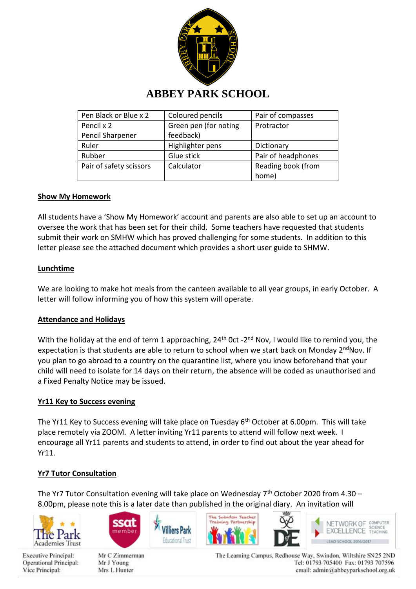

# **ABBEY PARK SCHOOL**

| Pen Black or Blue x 2   | Coloured pencils      | Pair of compasses  |  |
|-------------------------|-----------------------|--------------------|--|
| Pencil x 2              | Green pen (for noting | Protractor         |  |
| Pencil Sharpener        | feedback)             |                    |  |
| Ruler                   | Highlighter pens      | Dictionary         |  |
| Rubber                  | Glue stick            | Pair of headphones |  |
| Pair of safety scissors | Calculator            | Reading book (from |  |
|                         |                       | home)              |  |

### **Show My Homework**

All students have a 'Show My Homework' account and parents are also able to set up an account to oversee the work that has been set for their child. Some teachers have requested that students submit their work on SMHW which has proved challenging for some students. In addition to this letter please see the attached document which provides a short user guide to SHMW.

#### **Lunchtime**

We are looking to make hot meals from the canteen available to all year groups, in early October. A letter will follow informing you of how this system will operate.

#### **Attendance and Holidays**

With the holiday at the end of term 1 approaching, 24<sup>th</sup> Oct -2<sup>nd</sup> Nov, I would like to remind you, the expectation is that students are able to return to school when we start back on Monday 2<sup>nd</sup>Nov. If you plan to go abroad to a country on the quarantine list, where you know beforehand that your child will need to isolate for 14 days on their return, the absence will be coded as unauthorised and a Fixed Penalty Notice may be issued.

#### **Yr11 Key to Success evening**

The Yr11 Key to Success evening will take place on Tuesday 6<sup>th</sup> October at 6.00pm. This will take place remotely via ZOOM. A letter inviting Yr11 parents to attend will follow next week. I encourage all Yr11 parents and students to attend, in order to find out about the year ahead for Yr11.

#### **Yr7 Tutor Consultation**

The Yr7 Tutor Consultation evening will take place on Wednesday  $7<sup>th</sup>$  October 2020 from 4.30 – 8.00pm, please note this is a later date than published in the original diary. An invitation will













**Executive Principal:** Operational Principal: Vice Principal:

Mr C Zimmerman Mr J Young Mrs L Hunter

The Learning Campus, Redhouse Way, Swindon, Wiltshire SN25 2ND Tel: 01793 705400 Fax: 01793 707596 email: admin@abbeyparkschool.org.uk